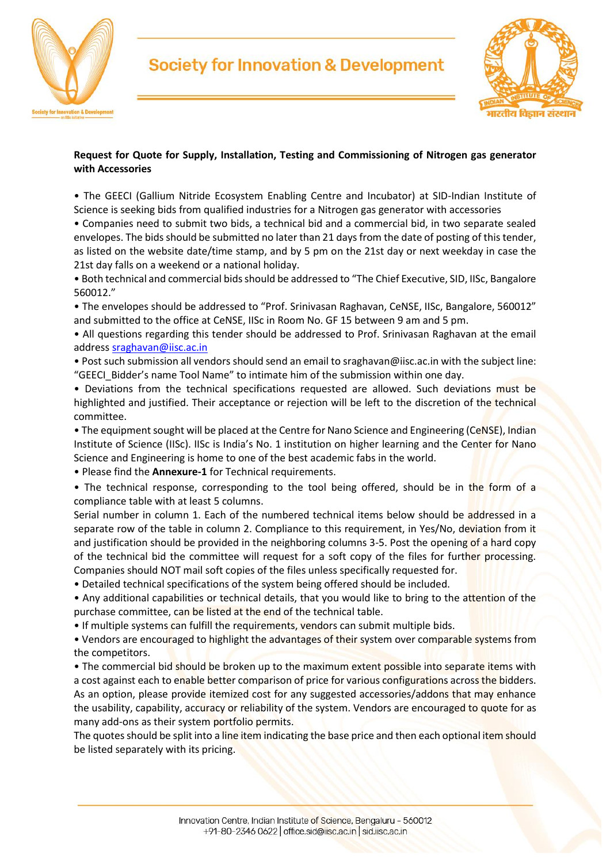



### **Request for Quote for Supply, Installation, Testing and Commissioning of Nitrogen gas generator with Accessories**

• The GEECI (Gallium Nitride Ecosystem Enabling Centre and Incubator) at SID-Indian Institute of Science is seeking bids from qualified industries for a Nitrogen gas generator with accessories

• Companies need to submit two bids, a technical bid and a commercial bid, in two separate sealed envelopes. The bids should be submitted no later than 21 days from the date of posting of this tender, as listed on the website date/time stamp, and by 5 pm on the 21st day or next weekday in case the 21st day falls on a weekend or a national holiday.

• Both technical and commercial bids should be addressed to "The Chief Executive, SID, IISc, Bangalore 560012."

• The envelopes should be addressed to "Prof. Srinivasan Raghavan, CeNSE, IISc, Bangalore, 560012" and submitted to the office at CeNSE, IISc in Room No. GF 15 between 9 am and 5 pm.

• All questions regarding this tender should be addressed to Prof. Srinivasan Raghavan at the email address [sraghavan@iisc.ac.in](mailto:sraghavan@iisc.ac.in)

• Post such submission all vendors should send an email to sraghavan@iisc.ac.in with the subject line: "GEECI\_Bidder's name Tool Name" to intimate him of the submission within one day.

• Deviations from the technical specifications requested are allowed. Such deviations must be highlighted and justified. Their acceptance or rejection will be left to the discretion of the technical committee.

• The equipment sought will be placed at the Centre for Nano Science and Engineering (CeNSE), Indian Institute of Science (IISc). IISc is India's No. 1 institution on higher learning and the Center for Nano Science and Engineering is home to one of the best academic fabs in the world.

• Please find the **Annexure-1** for Technical requirements.

• The technical response, corresponding to the tool being offered, should be in the form of a compliance table with at least 5 columns.

Serial number in column 1. Each of the numbered technical items below should be addressed in a separate row of the table in column 2. Compliance to this requirement, in Yes/No, deviation from it and justification should be provided in the neighboring columns 3-5. Post the opening of a hard copy of the technical bid the committee will request for a soft copy of the files for further processing. Companies should NOT mail soft copies of the files unless specifically requested for.

• Detailed technical specifications of the system being offered should be included.

• Any additional capabilities or technical details, that you would like to bring to the attention of the purchase committee, can be listed at the end of the technical table.

• If multiple systems can fulfill the requirements, vendors can submit multiple bids.

• Vendors are encouraged to highlight the advantages of their system over comparable systems from the competitors.

• The commercial bid should be broken up to the maximum extent possible into separate items with a cost against each to enable better comparison of price for various configurations across the bidders. As an option, please provide itemized cost for any suggested accessories/addons that may enhance the usability, capability, accuracy or reliability of the system. Vendors are encouraged to quote for as many add-ons as their system portfolio permits.

The quotes should be split into a line item indicating the base price and then each optional item should be listed separately with its pricing.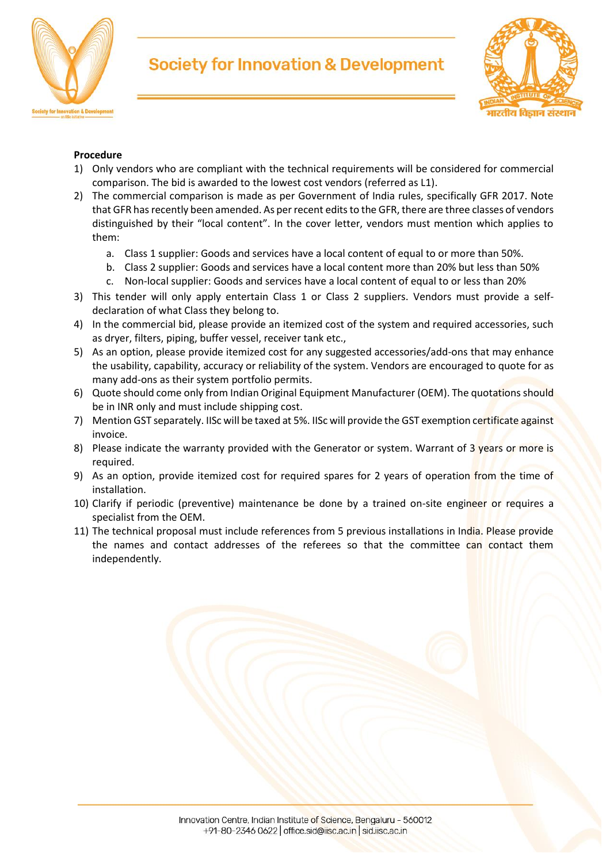



### **Procedure**

- 1) Only vendors who are compliant with the technical requirements will be considered for commercial comparison. The bid is awarded to the lowest cost vendors (referred as L1).
- 2) The commercial comparison is made as per Government of India rules, specifically GFR 2017. Note that GFR has recently been amended. As per recent edits to the GFR, there are three classes of vendors distinguished by their "local content". In the cover letter, vendors must mention which applies to them:
	- a. Class 1 supplier: Goods and services have a local content of equal to or more than 50%.
	- b. Class 2 supplier: Goods and services have a local content more than 20% but less than 50%
	- c. Non-local supplier: Goods and services have a local content of equal to or less than 20%
- 3) This tender will only apply entertain Class 1 or Class 2 suppliers. Vendors must provide a selfdeclaration of what Class they belong to.
- 4) In the commercial bid, please provide an itemized cost of the system and required accessories, such as dryer, filters, piping, buffer vessel, receiver tank etc.,
- 5) As an option, please provide itemized cost for any suggested accessories/add-ons that may enhance the usability, capability, accuracy or reliability of the system. Vendors are encouraged to quote for as many add-ons as their system portfolio permits.
- 6) Quote should come only from Indian Original Equipment Manufacturer (OEM). The quotations should be in INR only and must include shipping cost.
- 7) Mention GST separately. IISc will be taxed at 5%. IISc will provide the GST exemption certificate against invoice.
- 8) Please indicate the warranty provided with the Generator or system. Warrant of 3 years or more is required.
- 9) As an option, provide itemized cost for required spares for 2 years of operation from the time of installation.
- 10) Clarify if periodic (preventive) maintenance be done by a trained on-site engineer or requires a specialist from the OEM.
- 11) The technical proposal must include references from 5 previous installations in India. Please provide the names and contact addresses of the referees so that the committee can contact them independently.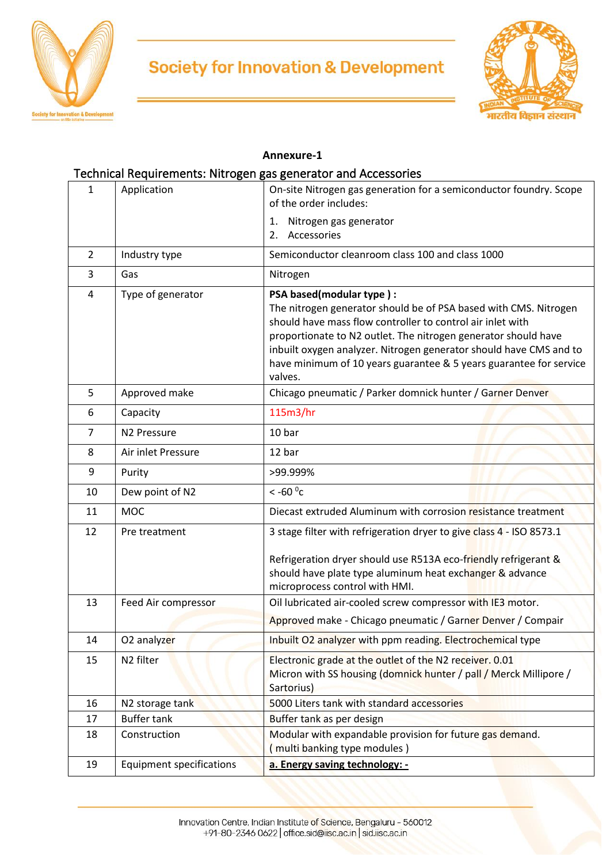



#### **Annexure-1**

## Technical Requirements: Nitrogen gas generator and Accessories

| $\mathbf{1}$   | Application                     | On-site Nitrogen gas generation for a semiconductor foundry. Scope<br>of the order includes:                                                                                                                                                                                                                                                                                        |
|----------------|---------------------------------|-------------------------------------------------------------------------------------------------------------------------------------------------------------------------------------------------------------------------------------------------------------------------------------------------------------------------------------------------------------------------------------|
|                |                                 | Nitrogen gas generator<br>1.<br>Accessories<br>2.                                                                                                                                                                                                                                                                                                                                   |
| $\overline{2}$ | Industry type                   | Semiconductor cleanroom class 100 and class 1000                                                                                                                                                                                                                                                                                                                                    |
| 3              | Gas                             | Nitrogen                                                                                                                                                                                                                                                                                                                                                                            |
| 4              | Type of generator               | PSA based(modular type):<br>The nitrogen generator should be of PSA based with CMS. Nitrogen<br>should have mass flow controller to control air inlet with<br>proportionate to N2 outlet. The nitrogen generator should have<br>inbuilt oxygen analyzer. Nitrogen generator should have CMS and to<br>have minimum of 10 years guarantee & 5 years guarantee for service<br>valves. |
| 5              | Approved make                   | Chicago pneumatic / Parker domnick hunter / Garner Denver                                                                                                                                                                                                                                                                                                                           |
| 6              | Capacity                        | 115m3/hr                                                                                                                                                                                                                                                                                                                                                                            |
| $\overline{7}$ | N <sub>2</sub> Pressure         | 10 bar                                                                                                                                                                                                                                                                                                                                                                              |
| 8              | Air inlet Pressure              | 12 bar                                                                                                                                                                                                                                                                                                                                                                              |
| 9              | Purity                          | >99.999%                                                                                                                                                                                                                                                                                                                                                                            |
| 10             | Dew point of N2                 | $<$ -60 $\degree$ c                                                                                                                                                                                                                                                                                                                                                                 |
| 11             | <b>MOC</b>                      | Diecast extruded Aluminum with corrosion resistance treatment                                                                                                                                                                                                                                                                                                                       |
| 12             | Pre treatment                   | 3 stage filter with refrigeration dryer to give class 4 - ISO 8573.1<br>Refrigeration dryer should use R513A eco-friendly refrigerant &<br>should have plate type aluminum heat exchanger & advance<br>microprocess control with HMI.                                                                                                                                               |
| 13             | Feed Air compressor             | Oil lubricated air-cooled screw compressor with IE3 motor.                                                                                                                                                                                                                                                                                                                          |
|                |                                 | Approved make - Chicago pneumatic / Garner Denver / Compair                                                                                                                                                                                                                                                                                                                         |
| 14             | O2 analyzer                     | Inbuilt O2 analyzer with ppm reading. Electrochemical type                                                                                                                                                                                                                                                                                                                          |
| 15             | N <sub>2</sub> filter           | Electronic grade at the outlet of the N2 receiver. 0.01<br>Micron with SS housing (domnick hunter / pall / Merck Millipore /<br>Sartorius)                                                                                                                                                                                                                                          |
| 16             | N2 storage tank                 | 5000 Liters tank with standard accessories                                                                                                                                                                                                                                                                                                                                          |
| 17             | <b>Buffer tank</b>              | Buffer tank as per design                                                                                                                                                                                                                                                                                                                                                           |
| 18             | Construction                    | Modular with expandable provision for future gas demand.<br>multi banking type modules)                                                                                                                                                                                                                                                                                             |
| 19             | <b>Equipment specifications</b> | a. Energy saving technology: -                                                                                                                                                                                                                                                                                                                                                      |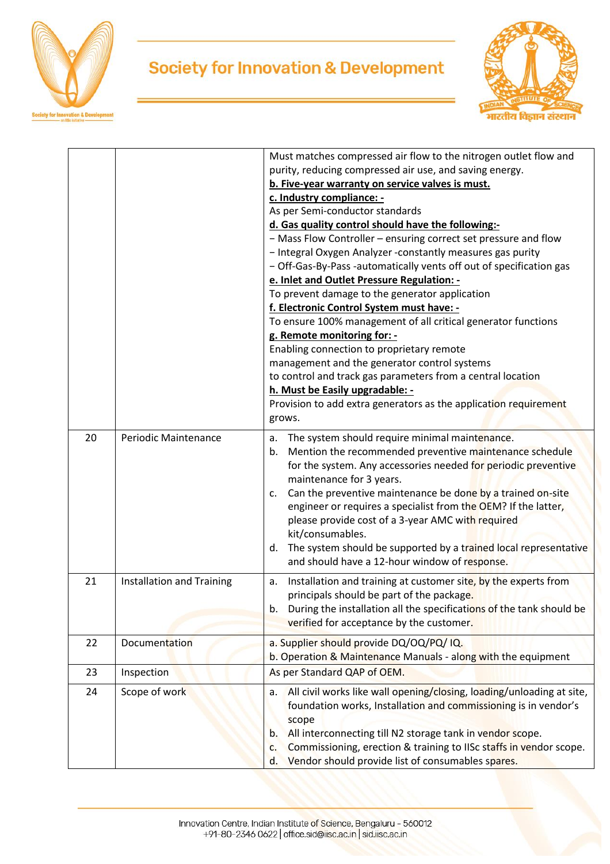



|    |                           | Must matches compressed air flow to the nitrogen outlet flow and<br>purity, reducing compressed air use, and saving energy.<br>b. Five-year warranty on service valves is must.<br>c. Industry compliance: -<br>As per Semi-conductor standards<br>d. Gas quality control should have the following:-<br>- Mass Flow Controller - ensuring correct set pressure and flow<br>- Integral Oxygen Analyzer -constantly measures gas purity<br>- Off-Gas-By-Pass -automatically vents off out of specification gas<br>e. Inlet and Outlet Pressure Regulation: -<br>To prevent damage to the generator application<br>f. Electronic Control System must have: -<br>To ensure 100% management of all critical generator functions<br>g. Remote monitoring for: -<br>Enabling connection to proprietary remote<br>management and the generator control systems<br>to control and track gas parameters from a central location<br>h. Must be Easily upgradable: -<br>Provision to add extra generators as the application requirement<br>grows. |
|----|---------------------------|-----------------------------------------------------------------------------------------------------------------------------------------------------------------------------------------------------------------------------------------------------------------------------------------------------------------------------------------------------------------------------------------------------------------------------------------------------------------------------------------------------------------------------------------------------------------------------------------------------------------------------------------------------------------------------------------------------------------------------------------------------------------------------------------------------------------------------------------------------------------------------------------------------------------------------------------------------------------------------------------------------------------------------------------|
| 20 | Periodic Maintenance      | The system should require minimal maintenance.<br>а.<br>Mention the recommended preventive maintenance schedule<br>b.<br>for the system. Any accessories needed for periodic preventive<br>maintenance for 3 years.<br>Can the preventive maintenance be done by a trained on-site<br>c.<br>engineer or requires a specialist from the OEM? If the latter,<br>please provide cost of a 3-year AMC with required<br>kit/consumables.<br>The system should be supported by a trained local representative<br>d.<br>and should have a 12-hour window of response.                                                                                                                                                                                                                                                                                                                                                                                                                                                                          |
| 21 | Installation and Training | Installation and training at customer site, by the experts from<br>a.<br>principals should be part of the package.<br>b. During the installation all the specifications of the tank should be<br>verified for acceptance by the customer.                                                                                                                                                                                                                                                                                                                                                                                                                                                                                                                                                                                                                                                                                                                                                                                               |
| 22 | Documentation             | a. Supplier should provide DQ/OQ/PQ/ IQ.<br>b. Operation & Maintenance Manuals - along with the equipment                                                                                                                                                                                                                                                                                                                                                                                                                                                                                                                                                                                                                                                                                                                                                                                                                                                                                                                               |
| 23 | Inspection                | As per Standard QAP of OEM.                                                                                                                                                                                                                                                                                                                                                                                                                                                                                                                                                                                                                                                                                                                                                                                                                                                                                                                                                                                                             |
| 24 | Scope of work             | All civil works like wall opening/closing, loading/unloading at site,<br>а.<br>foundation works, Installation and commissioning is in vendor's<br>scope<br>All interconnecting till N2 storage tank in vendor scope.<br>b.<br>Commissioning, erection & training to IISc staffs in vendor scope.<br>c.<br>Vendor should provide list of consumables spares.<br>d.                                                                                                                                                                                                                                                                                                                                                                                                                                                                                                                                                                                                                                                                       |